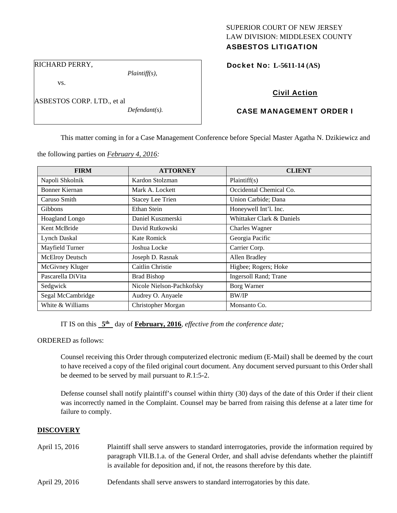## SUPERIOR COURT OF NEW JERSEY LAW DIVISION: MIDDLESEX COUNTY ASBESTOS LITIGATION

RICHARD PERRY,

vs.

ASBESTOS CORP. LTD., et al

*Plaintiff(s),* 

*Defendant(s).* 

Docket No: **L-5611-14 (AS)** 

# Civil Action

## CASE MANAGEMENT ORDER I

This matter coming in for a Case Management Conference before Special Master Agatha N. Dzikiewicz and

the following parties on *February 4, 2016:* 

| <b>FIRM</b>            | <b>ATTORNEY</b>           | <b>CLIENT</b>                 |
|------------------------|---------------------------|-------------------------------|
| Napoli Shkolnik        | Kardon Stolzman           | Plaintiff(s)                  |
| <b>Bonner Kiernan</b>  | Mark A. Lockett           | Occidental Chemical Co.       |
| Caruso Smith           | <b>Stacey Lee Trien</b>   | Union Carbide; Dana           |
| <b>Gibbons</b>         | Ethan Stein               | Honeywell Int'l. Inc.         |
| Hoagland Longo         | Daniel Kuszmerski         | Whittaker Clark & Daniels     |
| Kent McBride           | David Rutkowski           | <b>Charles Wagner</b>         |
| <b>Lynch Daskal</b>    | Kate Romick               | Georgia Pacific               |
| Mayfield Turner        | Joshua Locke              | Carrier Corp.                 |
| <b>McElroy Deutsch</b> | Joseph D. Rasnak          | Allen Bradley                 |
| McGivney Kluger        | Caitlin Christie          | Higbee; Rogers; Hoke          |
| Pascarella DiVita      | <b>Brad Bishop</b>        | <b>Ingersoll Rand</b> ; Trane |
| Sedgwick               | Nicole Nielson-Pachkofsky | Borg Warner                   |
| Segal McCambridge      | Audrey O. Anyaele         | <b>BW/IP</b>                  |
| White & Williams       | Christopher Morgan        | Monsanto Co.                  |

IT IS on this **5th** day of **February, 2016**, *effective from the conference date;*

ORDERED as follows:

Counsel receiving this Order through computerized electronic medium (E-Mail) shall be deemed by the court to have received a copy of the filed original court document. Any document served pursuant to this Order shall be deemed to be served by mail pursuant to *R*.1:5-2.

Defense counsel shall notify plaintiff's counsel within thirty (30) days of the date of this Order if their client was incorrectly named in the Complaint. Counsel may be barred from raising this defense at a later time for failure to comply.

## **DISCOVERY**

- April 15, 2016 Plaintiff shall serve answers to standard interrogatories, provide the information required by paragraph VII.B.1.a. of the General Order, and shall advise defendants whether the plaintiff is available for deposition and, if not, the reasons therefore by this date.
- April 29, 2016 Defendants shall serve answers to standard interrogatories by this date.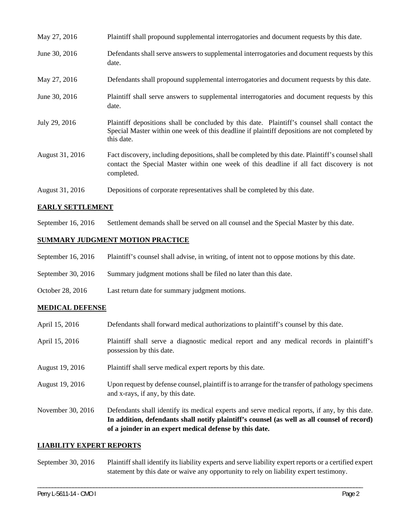| May 27, 2016    | Plaintiff shall propound supplemental interrogatories and document requests by this date.                                                                                                                   |
|-----------------|-------------------------------------------------------------------------------------------------------------------------------------------------------------------------------------------------------------|
| June 30, 2016   | Defendants shall serve answers to supplemental interrogatories and document requests by this<br>date.                                                                                                       |
| May 27, 2016    | Defendants shall propound supplemental interrogatories and document requests by this date.                                                                                                                  |
| June 30, 2016   | Plaintiff shall serve answers to supplemental interrogatories and document requests by this<br>date.                                                                                                        |
| July 29, 2016   | Plaintiff depositions shall be concluded by this date. Plaintiff's counsel shall contact the<br>Special Master within one week of this deadline if plaintiff depositions are not completed by<br>this date. |
| August 31, 2016 | Fact discovery, including depositions, shall be completed by this date. Plaintiff's counsel shall<br>contact the Special Master within one week of this deadline if all fact discovery is not<br>completed. |
| August 31, 2016 | Depositions of corporate representatives shall be completed by this date.                                                                                                                                   |

## **EARLY SETTLEMENT**

September 16, 2016 Settlement demands shall be served on all counsel and the Special Master by this date.

## **SUMMARY JUDGMENT MOTION PRACTICE**

- September 16, 2016 Plaintiff's counsel shall advise, in writing, of intent not to oppose motions by this date.
- September 30, 2016 Summary judgment motions shall be filed no later than this date.
- October 28, 2016 Last return date for summary judgment motions.

#### **MEDICAL DEFENSE**

| April 15, 2016    | Defendants shall forward medical authorizations to plaintiff's counsel by this date.                                                                                                                                                                     |
|-------------------|----------------------------------------------------------------------------------------------------------------------------------------------------------------------------------------------------------------------------------------------------------|
| April 15, 2016    | Plaintiff shall serve a diagnostic medical report and any medical records in plaintiff's<br>possession by this date.                                                                                                                                     |
| August 19, 2016   | Plaintiff shall serve medical expert reports by this date.                                                                                                                                                                                               |
| August 19, 2016   | Upon request by defense counsel, plaintiff is to arrange for the transfer of pathology specimens<br>and x-rays, if any, by this date.                                                                                                                    |
| November 30, 2016 | Defendants shall identify its medical experts and serve medical reports, if any, by this date.<br>In addition, defendants shall notify plaintiff's counsel (as well as all counsel of record)<br>of a joinder in an expert medical defense by this date. |

#### **LIABILITY EXPERT REPORTS**

September 30, 2016 Plaintiff shall identify its liability experts and serve liability expert reports or a certified expert statement by this date or waive any opportunity to rely on liability expert testimony.

\_\_\_\_\_\_\_\_\_\_\_\_\_\_\_\_\_\_\_\_\_\_\_\_\_\_\_\_\_\_\_\_\_\_\_\_\_\_\_\_\_\_\_\_\_\_\_\_\_\_\_\_\_\_\_\_\_\_\_\_\_\_\_\_\_\_\_\_\_\_\_\_\_\_\_\_\_\_\_\_\_\_\_\_\_\_\_\_\_\_\_\_\_\_\_\_\_\_\_\_\_\_\_\_\_\_\_\_\_\_